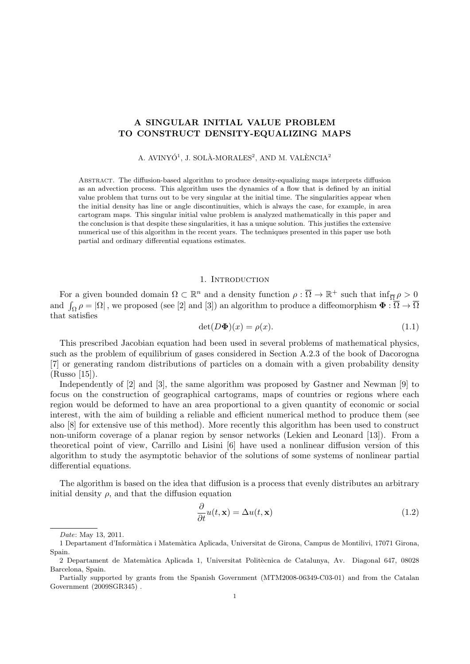# **A SINGULAR INITIAL VALUE PROBLEM TO CONSTRUCT DENSITY-EQUALIZING MAPS**

A. AVINYÓ<sup>1</sup>, J. SOLÀ-MORALES<sup>2</sup>, AND M. VALÈNCIA<sup>2</sup>

Abstract. The diffusion-based algorithm to produce density-equalizing maps interprets diffusion as an advection process. This algorithm uses the dynamics of a flow that is defined by an initial value problem that turns out to be very singular at the initial time. The singularities appear when the initial density has line or angle discontinuities, which is always the case, for example, in area cartogram maps. This singular initial value problem is analyzed mathematically in this paper and the conclusion is that despite these singularities, it has a unique solution. This justifies the extensive numerical use of this algorithm in the recent years. The techniques presented in this paper use both partial and ordinary differential equations estimates.

## 1. INTRODUCTION

For a given bounded domain  $\Omega \subset \mathbb{R}^n$  and a density function  $\rho: \overline{\Omega} \to \mathbb{R}^+$  such that  $\inf_{\overline{\Omega}} \rho > 0$ and  $\int_{\Omega} \rho = |\Omega|$ , we proposed (see [2] and [3]) an algorithm to produce a diffeomorphism  $\Phi : \overline{\Omega} \to \overline{\Omega}$ that satisfies

$$
\det(D\Phi)(x) = \rho(x). \tag{1.1}
$$

This prescribed Jacobian equation had been used in several problems of mathematical physics, such as the problem of equilibrium of gases considered in Section A.2.3 of the book of Dacorogna [7] or generating random distributions of particles on a domain with a given probability density (Russo [15]).

Independently of [2] and [3], the same algorithm was proposed by Gastner and Newman [9] to focus on the construction of geographical cartograms, maps of countries or regions where each region would be deformed to have an area proportional to a given quantity of economic or social interest, with the aim of building a reliable and efficient numerical method to produce them (see also [8] for extensive use of this method). More recently this algorithm has been used to construct non-uniform coverage of a planar region by sensor networks (Lekien and Leonard [13]). From a theoretical point of view, Carrillo and Lisini [6] have used a nonlinear diffusion version of this algorithm to study the asymptotic behavior of the solutions of some systems of nonlinear partial differential equations.

The algorithm is based on the idea that diffusion is a process that evenly distributes an arbitrary initial density  $\rho$ , and that the diffusion equation

$$
\frac{\partial}{\partial t}u(t, \mathbf{x}) = \Delta u(t, \mathbf{x})\tag{1.2}
$$

*Date*: May 13, 2011.

<sup>1</sup> Departament d'Inform`atica i Matem`atica Aplicada, Universitat de Girona, Campus de Montilivi, 17071 Girona, Spain.

<sup>2</sup> Departament de Matem`atica Aplicada 1, Universitat Polit`ecnica de Catalunya, Av. Diagonal 647, 08028 Barcelona, Spain.

Partially supported by grants from the Spanish Government (MTM2008-06349-C03-01) and from the Catalan Government (2009SGR345) .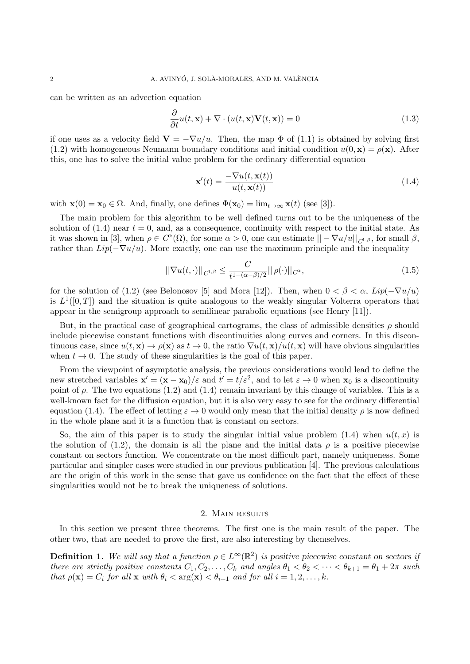can be written as an advection equation

$$
\frac{\partial}{\partial t}u(t, \mathbf{x}) + \nabla \cdot (u(t, \mathbf{x})\mathbf{V}(t, \mathbf{x})) = 0
$$
\n(1.3)

if one uses as a velocity field  $\mathbf{V} = -\nabla u/u$ . Then, the map  $\Phi$  of (1.1) is obtained by solving first (1.2) with homogeneous Neumann boundary conditions and initial condition  $u(0, \mathbf{x}) = \rho(\mathbf{x})$ . After this, one has to solve the initial value problem for the ordinary differential equation

$$
\mathbf{x}'(t) = \frac{-\nabla u(t, \mathbf{x}(t))}{u(t, \mathbf{x}(t))}
$$
(1.4)

with  $\mathbf{x}(0) = \mathbf{x}_0 \in \Omega$ . And, finally, one defines  $\Phi(\mathbf{x}_0) = \lim_{t \to \infty} \mathbf{x}(t)$  (see [3]).

The main problem for this algorithm to be well defined turns out to be the uniqueness of the solution of  $(1.4)$  near  $t = 0$ , and, as a consequence, continuity with respect to the initial state. As it was shown in [3], when  $\rho \in C^{\alpha}(\Omega)$ , for some  $\alpha > 0$ , one can estimate  $||-\nabla u/u||_{C^{1,\beta}}$ , for small  $\beta$ , rather than  $Lip(-\nabla u/u)$ . More exactly, one can use the maximum principle and the inequality

$$
\left\| \nabla u(t, \cdot) \right\|_{C^{1,\beta}} \le \frac{C}{t^{1 - (\alpha - \beta)/2}} \|\rho(\cdot)\|_{C^{\alpha}},\tag{1.5}
$$

for the solution of (1.2) (see Belonosov [5] and Mora [12]). Then, when  $0 < \beta < \alpha$ ,  $Lip(-\nabla u/u)$ is  $L^1([0,T])$  and the situation is quite analogous to the weakly singular Volterra operators that appear in the semigroup approach to semilinear parabolic equations (see Henry [11]).

But, in the practical case of geographical cartograms, the class of admissible densities  $\rho$  should include piecewise constant functions with discontinuities along curves and corners. In this discontinuous case, since  $u(t, \mathbf{x}) \to \rho(\mathbf{x})$  as  $t \to 0$ , the ratio  $\nabla u(t, \mathbf{x})/u(t, \mathbf{x})$  will have obvious singularities when  $t \to 0$ . The study of these singularities is the goal of this paper.

From the viewpoint of asymptotic analysis, the previous considerations would lead to define the new stretched variables  $\mathbf{x}' = (\mathbf{x} - \mathbf{x}_0)/\varepsilon$  and  $t' = t/\varepsilon^2$ , and to let  $\varepsilon \to 0$  when  $\mathbf{x}_0$  is a discontinuity point of  $\rho$ . The two equations (1.2) and (1.4) remain invariant by this change of variables. This is a well-known fact for the diffusion equation, but it is also very easy to see for the ordinary differential equation (1.4). The effect of letting  $\varepsilon \to 0$  would only mean that the initial density  $\rho$  is now defined in the whole plane and it is a function that is constant on sectors.

So, the aim of this paper is to study the singular initial value problem  $(1.4)$  when  $u(t, x)$  is the solution of (1.2), the domain is all the plane and the initial data  $\rho$  is a positive piecewise constant on sectors function. We concentrate on the most difficult part, namely uniqueness. Some particular and simpler cases were studied in our previous publication [4]. The previous calculations are the origin of this work in the sense that gave us confidence on the fact that the effect of these singularities would not be to break the uniqueness of solutions.

### 2. Main results

In this section we present three theorems. The first one is the main result of the paper. The other two, that are needed to prove the first, are also interesting by themselves.

**Definition 1.** We will say that a function  $\rho \in L^{\infty}(\mathbb{R}^2)$  is positive piecewise constant on sectors if *there are strictly positive constants*  $C_1, C_2, \ldots, C_k$  *and angles*  $\theta_1 < \theta_2 < \cdots < \theta_{k+1} = \theta_1 + 2\pi$  *such that*  $\rho(\mathbf{x}) = C_i$  *for all*  $\mathbf{x}$  *with*  $\theta_i < \arg(\mathbf{x}) < \theta_{i+1}$  *and for all*  $i = 1, 2, \ldots, k$ *.*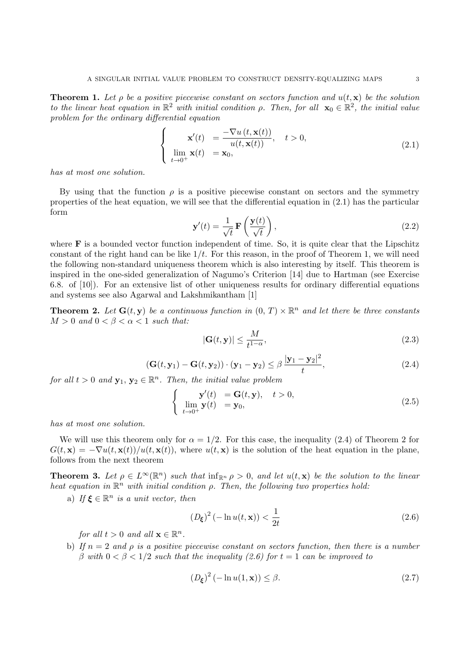**Theorem 1.** Let  $\rho$  be a positive piecewise constant on sectors function and  $u(t, \mathbf{x})$  be the solution *to the linear heat equation in*  $\mathbb{R}^2$  *with initial condition*  $\rho$ . Then, for all  $\mathbf{x}_0 \in \mathbb{R}^2$ , the initial value *problem for the ordinary differential equation*

$$
\begin{cases}\n\mathbf{x}'(t) = \frac{-\nabla u(t, \mathbf{x}(t))}{u(t, \mathbf{x}(t))}, \quad t > 0, \\
\lim_{t \to 0^+} \mathbf{x}(t) = \mathbf{x}_0,\n\end{cases}
$$
\n(2.1)

*has at most one solution.*

By using that the function  $\rho$  is a positive piecewise constant on sectors and the symmetry properties of the heat equation, we will see that the differential equation in (2.1) has the particular form

$$
\mathbf{y}'(t) = \frac{1}{\sqrt{t}} \mathbf{F}\left(\frac{\mathbf{y}(t)}{\sqrt{t}}\right),\tag{2.2}
$$

where  $\bf{F}$  is a bounded vector function independent of time. So, it is quite clear that the Lipschitz constant of the right hand can be like 1*/t*. For this reason, in the proof of Theorem 1, we will need the following non-standard uniqueness theorem which is also interesting by itself. This theorem is inspired in the one-sided generalization of Nagumo's Criterion [14] due to Hartman (see Exercise 6.8. of [10]). For an extensive list of other uniqueness results for ordinary differential equations and systems see also Agarwal and Lakshmikantham [1]

**Theorem 2.** Let  $G(t, y)$  be a continuous function in  $(0, T) \times \mathbb{R}^n$  and let there be three constants  $M > 0$  *and*  $0 < \beta < \alpha < 1$  *such that:* 

$$
|\mathbf{G}(t, \mathbf{y})| \le \frac{M}{t^{1-\alpha}},\tag{2.3}
$$

$$
\left(\mathbf{G}(t,\mathbf{y}_1)-\mathbf{G}(t,\mathbf{y}_2)\right)\cdot\left(\mathbf{y}_1-\mathbf{y}_2\right)\leq\beta\,\frac{|\mathbf{y}_1-\mathbf{y}_2|^2}{t},\tag{2.4}
$$

*for all*  $t > 0$  *and*  $\mathbf{y}_1, \mathbf{y}_2 \in \mathbb{R}^n$ . Then, the initial value problem

$$
\begin{cases}\n\mathbf{y}'(t) = \mathbf{G}(t, \mathbf{y}), \quad t > 0, \\
\lim_{t \to 0^+} \mathbf{y}(t) = \mathbf{y}_0,\n\end{cases}
$$
\n(2.5)

*has at most one solution.*

We will use this theorem only for  $\alpha = 1/2$ . For this case, the inequality (2.4) of Theorem 2 for  $G(t, \mathbf{x}) = -\nabla u(t, \mathbf{x}(t))/u(t, \mathbf{x}(t))$ , where  $u(t, \mathbf{x})$  is the solution of the heat equation in the plane, follows from the next theorem

**Theorem 3.** Let  $\rho \in L^{\infty}(\mathbb{R}^n)$  such that  $\inf_{\mathbb{R}^n} \rho > 0$ , and let  $u(t, \mathbf{x})$  be the solution to the linear *heat equation in*  $\mathbb{R}^n$  *with initial condition ρ. Then, the following two properties hold:* 

a) If  $\xi \in \mathbb{R}^n$  *is a unit vector, then* 

$$
\left(D_{\xi}\right)^{2}\left(-\ln u(t, \mathbf{x})\right) < \frac{1}{2t} \tag{2.6}
$$

*for all*  $t > 0$  *and all*  $\mathbf{x} \in \mathbb{R}^n$ *.* 

b) If  $n = 2$  and  $\rho$  is a positive piecewise constant on sectors function, then there is a number *β with* 0 *< β <* 1*/*2 *such that the inequality (2.6) for t* = 1 *can be improved to*

$$
(D_{\xi})^2 \left(-\ln u(1, \mathbf{x})\right) \le \beta. \tag{2.7}
$$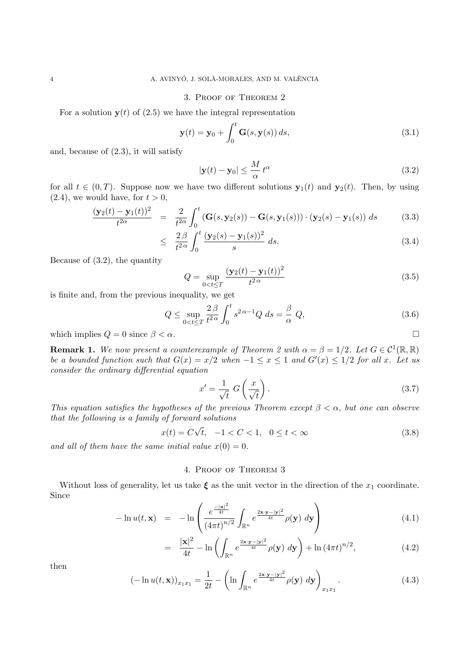### 3. Proof of Theorem 2

For a solution  $y(t)$  of (2.5) we have the integral representation

$$
\mathbf{y}(t) = \mathbf{y}_0 + \int_0^t \mathbf{G}(s, \mathbf{y}(s)) ds,
$$
\n(3.1)

and, because of (2.3), it will satisfy

$$
|\mathbf{y}(t) - \mathbf{y}_0| \le \frac{M}{\alpha} t^{\alpha} \tag{3.2}
$$

for all  $t \in (0, T)$ . Suppose now we have two different solutions  $y_1(t)$  and  $y_2(t)$ . Then, by using  $(2.4)$ , we would have, for  $t > 0$ ,

$$
\frac{(\mathbf{y}_2(t) - \mathbf{y}_1(t))^2}{t^{2\alpha}} = \frac{2}{t^{2\alpha}} \int_0^t (\mathbf{G}(s, \mathbf{y}_2(s)) - \mathbf{G}(s, \mathbf{y}_1(s))) \cdot (\mathbf{y}_2(s) - \mathbf{y}_1(s)) ds \qquad (3.3)
$$

$$
\leq \frac{2\beta}{t^{2\alpha}} \int_0^t \frac{(\mathbf{y}_2(s) - \mathbf{y}_1(s))^2}{s} ds. \tag{3.4}
$$

Because of (3.2), the quantity

$$
Q = \sup_{0 < t \le T} \frac{(\mathbf{y}_2(t) - \mathbf{y}_1(t))^2}{t^{2\alpha}} \tag{3.5}
$$

is finite and, from the previous inequality, we get

$$
Q \le \sup_{0 < t \le T} \frac{2\beta}{t^{2\alpha}} \int_0^t s^{2\alpha - 1} Q \, ds = \frac{\beta}{\alpha} \, Q,\tag{3.6}
$$

which implies  $Q = 0$  since  $\beta < \alpha$ .

**Remark 1.** We now present a counterexample of Theorem 2 with  $\alpha = \beta = 1/2$ . Let  $G \in C^1(\mathbb{R}, \mathbb{R})$ *be a bounded function such that*  $G(x) = x/2$  *when*  $-1 \le x \le 1$  *and*  $G'(x) \le 1/2$  *for all x. Let us consider the ordinary differential equation*

$$
x' = \frac{1}{\sqrt{t}} G\left(\frac{x}{\sqrt{t}}\right). \tag{3.7}
$$

*This equation satisfies the hypotheses of the previous Theorem except*  $\beta < \alpha$ , *but one can observe that the following is a family of forward solutions*

$$
x(t) = C\sqrt{t}, -1 < C < 1, 0 \le t < \infty
$$
\n(3.8)

and all of them have the same initial value  $x(0) = 0$ .

## 4. Proof of Theorem 3

Without loss of generality, let us take  $\xi$  as the unit vector in the direction of the  $x_1$  coordinate. Since

$$
-\ln u(t, \mathbf{x}) = -\ln \left( \frac{e^{\frac{-|\mathbf{x}|^2}{4t}}}{\left(4\pi t\right)^{n/2}} \int_{\mathbb{R}^n} e^{\frac{2\mathbf{x} \cdot \mathbf{y} - |\mathbf{y}|^2}{4t}} \rho(\mathbf{y}) \, d\mathbf{y} \right) \tag{4.1}
$$

$$
= \frac{|\mathbf{x}|^2}{4t} - \ln\left(\int_{\mathbb{R}^n} e^{\frac{2\mathbf{x}\cdot\mathbf{y}-|\mathbf{y}|^2}{4t}} \rho(\mathbf{y}) \, d\mathbf{y}\right) + \ln\left(4\pi t\right)^{n/2},\tag{4.2}
$$

then

$$
(-\ln u(t, \mathbf{x}))_{x_1 x_1} = \frac{1}{2t} - \left(\ln \int_{\mathbb{R}^n} e^{\frac{2\mathbf{x} \cdot \mathbf{y} - |\mathbf{y}|^2}{4t}} \rho(\mathbf{y}) \, d\mathbf{y}\right)_{x_1 x_1}.
$$
 (4.3)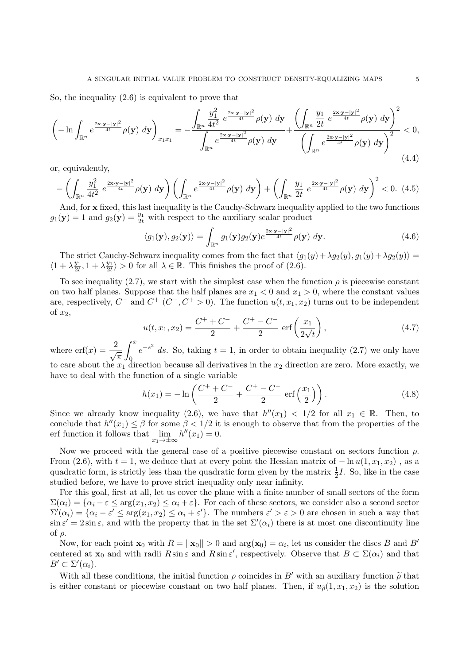So, the inequality (2.6) is equivalent to prove that

$$
\left(-\ln\int_{\mathbb{R}^n}e^{\frac{2\mathbf{x}\cdot\mathbf{y}-|\mathbf{y}|^2}{4t}}\rho(\mathbf{y})\,d\mathbf{y}\right)_{x_1x_1} = -\frac{\int_{\mathbb{R}^n}\frac{y_1^2}{4t^2}e^{\frac{2\mathbf{x}\cdot\mathbf{y}-|\mathbf{y}|^2}{4t}}\rho(\mathbf{y})\,d\mathbf{y}}{\int_{\mathbb{R}^n}e^{\frac{2\mathbf{x}\cdot\mathbf{y}-|\mathbf{y}|^2}{4t}}\rho(\mathbf{y})\,d\mathbf{y}} + \frac{\left(\int_{\mathbb{R}^n}\frac{y_1}{2t}e^{\frac{2\mathbf{x}\cdot\mathbf{y}-|\mathbf{y}|^2}{4t}}\rho(\mathbf{y})\,d\mathbf{y}\right)^2}{\left(\int_{\mathbb{R}^n}e^{\frac{2\mathbf{x}\cdot\mathbf{y}-|\mathbf{y}|^2}{4t}}\rho(\mathbf{y})\,d\mathbf{y}\right)^2} < 0,
$$
\n(4.4)

or, equivalently,

$$
-\left(\int_{\mathbb{R}^n} \frac{y_1^2}{4t^2} e^{\frac{2x \cdot y - |y|^2}{4t}} \rho(\mathbf{y}) d\mathbf{y}\right) \left(\int_{\mathbb{R}^n} e^{\frac{2x \cdot y - |y|^2}{4t}} \rho(\mathbf{y}) d\mathbf{y}\right) + \left(\int_{\mathbb{R}^n} \frac{y_1}{2t} e^{\frac{2x \cdot y - |y|^2}{4t}} \rho(\mathbf{y}) d\mathbf{y}\right)^2 < 0. \tag{4.5}
$$

And, for **x** fixed, this last inequality is the Cauchy-Schwarz inequality applied to the two functions  $g_1(\mathbf{y}) = 1$  and  $g_2(\mathbf{y}) = \frac{y_1}{2t}$  with respect to the auxiliary scalar product

$$
\langle g_1(\mathbf{y}), g_2(\mathbf{y}) \rangle = \int_{\mathbb{R}^n} g_1(\mathbf{y}) g_2(\mathbf{y}) e^{\frac{2\mathbf{x} \cdot \mathbf{y} - |\mathbf{y}|^2}{4t}} \rho(\mathbf{y}) \, d\mathbf{y}.
$$
 (4.6)

The strict Cauchy-Schwarz inequality comes from the fact that  $\langle g_1(y) + \lambda g_2(y), g_1(y) + \lambda g_2(y) \rangle =$  $\langle 1 + \lambda \frac{y_1}{2t} \rangle$  $\frac{y_1}{2t}$ , 1 +  $\lambda \frac{y_1}{2t}$  $\frac{y_1}{2t}$  > 0 for all  $\lambda \in \mathbb{R}$ . This finishes the proof of (2.6).

To see inequality (2.7), we start with the simplest case when the function  $\rho$  is piecewise constant on two half planes. Suppose that the half planes are  $x_1 < 0$  and  $x_1 > 0$ , where the constant values are, respectively,  $C^-$  and  $C^+$   $(C^-, C^+ > 0)$ . The function  $u(t, x_1, x_2)$  turns out to be independent of *x*2,

$$
u(t, x_1, x_2) = \frac{C^+ + C^-}{2} + \frac{C^+ - C^-}{2} \operatorname{erf}\left(\frac{x_1}{2\sqrt{t}}\right),\tag{4.7}
$$

where  $\operatorname{erf}(x) = \frac{2}{\sqrt{\pi}}$ ∫ *<sup>x</sup>*  $\overline{0}$  $e^{-s^2}$  *ds*. So, taking  $t = 1$ , in order to obtain inequality (2.7) we only have to care about the  $x_1$  direction because all derivatives in the  $x_2$  direction are zero. More exactly, we have to deal with the function of a single variable

$$
h(x_1) = -\ln\left(\frac{C^+ + C^-}{2} + \frac{C^+ - C^-}{2} \text{ erf}\left(\frac{x_1}{2}\right)\right). \tag{4.8}
$$

Since we already know inequality (2.6), we have that  $h''(x_1) < 1/2$  for all  $x_1 \in \mathbb{R}$ . Then, to conclude that  $h''(x_1) \leq \beta$  for some  $\beta < 1/2$  it is enough to observe that from the properties of the erf function it follows that  $\lim_{x_1 \to \pm \infty} h''(x_1) = 0.$ 

Now we proceed with the general case of a positive piecewise constant on sectors function *ρ*. From (2.6), with  $t = 1$ , we deduce that at every point the Hessian matrix of  $- \ln u(1, x_1, x_2)$ , as a quadratic form, is strictly less than the quadratic form given by the matrix  $\frac{1}{2}I$ . So, like in the case studied before, we have to prove strict inequality only near infinity.

For this goal, first at all, let us cover the plane with a finite number of small sectors of the form  $\Sigma(\alpha_i) = {\alpha_i - \varepsilon \leq \arg(x_1, x_2) \leq \alpha_i + \varepsilon}.$  For each of these sectors, we consider also a second sector  $\Sigma'(\alpha_i) = {\alpha_i - \varepsilon' \leq \arg(x_1, x_2) \leq \alpha_i + \varepsilon'}}$ . The numbers  $\varepsilon' > \varepsilon > 0$  are chosen in such a way that  $\sin \varepsilon' = 2 \sin \varepsilon$ , and with the property that in the set  $\Sigma'(\alpha_i)$  there is at most one discontinuity line of *ρ*.

Now, for each point  $\mathbf{x}_0$  with  $R = ||\mathbf{x}_0|| > 0$  and  $\arg(\mathbf{x}_0) = \alpha_i$ , let us consider the discs *B* and *B'* centered at  $\mathbf{x}_0$  and with radii  $R \sin \varepsilon$  and  $R \sin \varepsilon'$ , respectively. Observe that  $B \subset \Sigma(\alpha_i)$  and that  $B' \subset \Sigma'(\alpha_i).$ 

With all these conditions, the initial function  $\rho$  coincides in *B'* with an auxiliary function  $\tilde{\rho}$  that is either constant or piecewise constant on two half planes. Then, if  $u_{\tilde{\rho}}(1, x_1, x_2)$  is the solution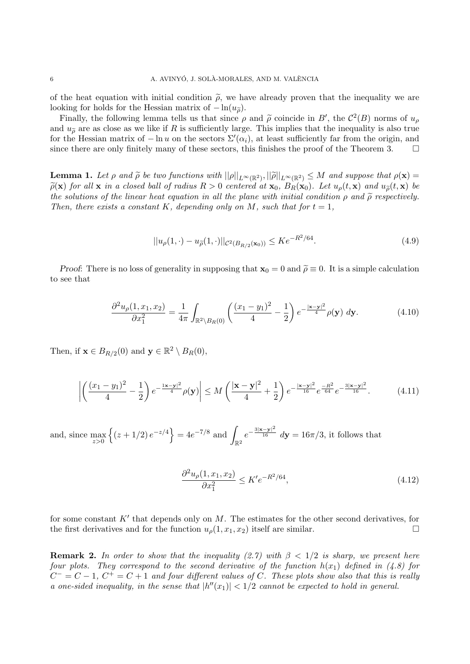of the heat equation with initial condition  $\tilde{\rho}$ , we have already proven that the inequality we are looking for holds for the Hessian matrix of  $-\ln(u_{\tilde{\rho}})$ .

Finally, the following lemma tells us that since  $\rho$  and  $\rho$  coincide in *B'*, the  $C^2(B)$  norms of  $u_\rho$ <br>d  $u_\rho$  are as close as we like if *B* is sufficiently large. This implies that the inequality is also true and  $u_{\tilde{\rho}}$  are as close as we like if *R* is sufficiently large. This implies that the inequality is also true for the Hessian matrix of  $-\ln u$  on the sectors  $\Sigma'(\alpha_i)$ , at least sufficiently far from the origin, and since there are only finitely many of these sectors, this finishes the proof of the Theorem 3.  $\Box$ 

**Lemma 1.** Let  $\rho$  and  $\tilde{\rho}$  be two functions with  $||\rho||_{L^{\infty}(\mathbb{R}^2)}$ ,  $||\tilde{\rho}||_{L^{\infty}(\mathbb{R}^2)} \leq M$  and suppose that  $\rho(\mathbf{x}) = \tilde{\rho}(\mathbf{x})$  for all  $\mathbf{x}$  in a closed hall of radius  $R > 0$  centered at  $\mathbf{x}_k$ ,  $\tilde{\rho}(\mathbf{x})$  for all x in a closed ball of radius  $R > 0$  centered at  $\mathbf{x}_0$ ,  $B_R(\mathbf{x}_0)$ . Let  $u_o(t, \mathbf{x})$  and  $u_{\tilde{o}}(t, \mathbf{x})$  be *the solutions of the linear heat equation in all the plane with initial condition*  $\rho$  and  $\tilde{\rho}$  respectively. *Then, there exists a constant K, depending only on M, such that for*  $t = 1$ *,* 

$$
||u_{\rho}(1,\cdot)-u_{\tilde{\rho}}(1,\cdot)||_{\mathcal{C}^{2}(B_{R/2}(\mathbf{x}_{0}))} \leq Ke^{-R^{2}/64}.
$$
\n(4.9)

*Proof*: There is no loss of generality in supposing that  $\mathbf{x}_0 = 0$  and  $\tilde{\rho} \equiv 0$ . It is a simple calculation to see that

$$
\frac{\partial^2 u_\rho(1, x_1, x_2)}{\partial x_1^2} = \frac{1}{4\pi} \int_{\mathbb{R}^2 \setminus B_R(0)} \left( \frac{(x_1 - y_1)^2}{4} - \frac{1}{2} \right) e^{-\frac{|\mathbf{x} - \mathbf{y}|^2}{4}} \rho(\mathbf{y}) \, d\mathbf{y}.\tag{4.10}
$$

Then, if  $\mathbf{x} \in B_{R/2}(0)$  and  $\mathbf{y} \in \mathbb{R}^2 \setminus B_R(0)$ ,

$$
\left| \left( \frac{(x_1 - y_1)^2}{4} - \frac{1}{2} \right) e^{-\frac{1 \mathbf{x} - \mathbf{y}^2}{4}} \rho(\mathbf{y}) \right| \le M \left( \frac{|\mathbf{x} - \mathbf{y}|^2}{4} + \frac{1}{2} \right) e^{-\frac{|\mathbf{x} - \mathbf{y}|^2}{16}} e^{-\frac{R^2}{64}} e^{-\frac{3|\mathbf{x} - \mathbf{y}|^2}{16}}.
$$
 (4.11)

and, since max *z>*0  $\{(z+1/2)e^{-z/4}\} = 4e^{-7/8}$  and  $\mathbb{R}^2$  $e^{-\frac{3|\mathbf{x}-\mathbf{y}|^2}{16}}$   $d\mathbf{y} = 16\pi/3$ , it follows that

$$
\frac{\partial^2 u_{\rho}(1, x_1, x_2)}{\partial x_1^2} \le K' e^{-R^2/64},\tag{4.12}
$$

for some constant *K′* that depends only on *M*. The estimates for the other second derivatives, for the first derivatives and for the function  $u_{\rho}(1, x_1, x_2)$  itself are similar.

**Remark 2.** *In order to show that the inequality (2.7) with*  $\beta < 1/2$  *is sharp, we present here four plots. They correspond to the second derivative of the function*  $h(x_1)$  defined in (4.8) for  $C^- = C - 1$ ,  $C^+ = C + 1$  and four different values of C. These plots show also that this is really *a* one-sided inequality, in the sense that  $|h''(x_1)| < 1/2$  cannot be expected to hold in general.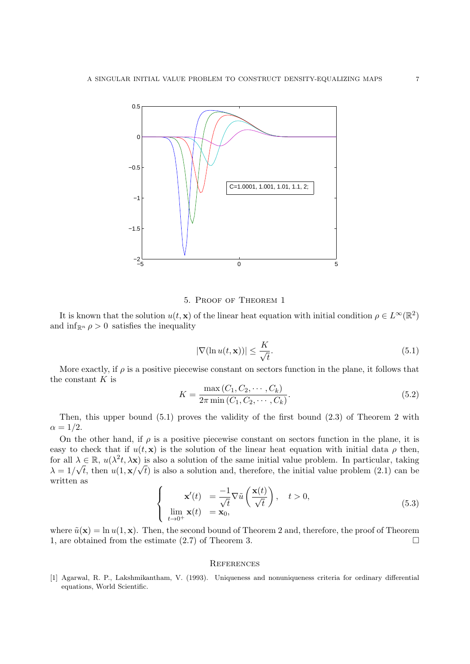

## 5. Proof of Theorem 1

It is known that the solution  $u(t, \mathbf{x})$  of the linear heat equation with initial condition  $\rho \in L^{\infty}(\mathbb{R}^2)$ and  $\inf_{\mathbb{R}^n} \rho > 0$  satisfies the inequality

$$
|\nabla(\ln u(t, \mathbf{x}))| \le \frac{K}{\sqrt{t}}.\tag{5.1}
$$

More exactly, if *ρ* is a positive piecewise constant on sectors function in the plane, it follows that the constant *K* is

$$
K = \frac{\max(C_1, C_2, \cdots, C_k)}{2\pi \min(C_1, C_2, \cdots, C_k)}.
$$
\n(5.2)

Then, this upper bound (5.1) proves the validity of the first bound (2.3) of Theorem 2 with  $\alpha = 1/2$ .

On the other hand, if  $\rho$  is a positive piecewise constant on sectors function in the plane, it is easy to check that if  $u(t, x)$  is the solution of the linear heat equation with initial data  $\rho$  then, for all  $\lambda \in \mathbb{R}$ ,  $u(\lambda^2 t, \lambda x)$  is also a solution of the same initial value problem. In particular, taking  $\lambda = 1/\sqrt{t}$ , then  $u(1, \mathbf{x}/\sqrt{t})$  is also a solution and, therefore, the initial value problem (2.1) can be written as

$$
\begin{cases}\n\mathbf{x}'(t) = \frac{-1}{\sqrt{t}} \nabla \tilde{u}\left(\frac{\mathbf{x}(t)}{\sqrt{t}}\right), \quad t > 0, \\
\lim_{t \to 0^+} \mathbf{x}(t) = \mathbf{x}_0,\n\end{cases}
$$
\n(5.3)

where  $\tilde{u}(\mathbf{x}) = \ln u(1, \mathbf{x})$ . Then, the second bound of Theorem 2 and, therefore, the proof of Theorem 1, are obtained from the estimate (2.7) of Theorem 3.

#### **REFERENCES**

[1] Agarwal, R. P., Lakshmikantham, V. (1993). Uniqueness and nonuniqueness criteria for ordinary differential equations, World Scientific.